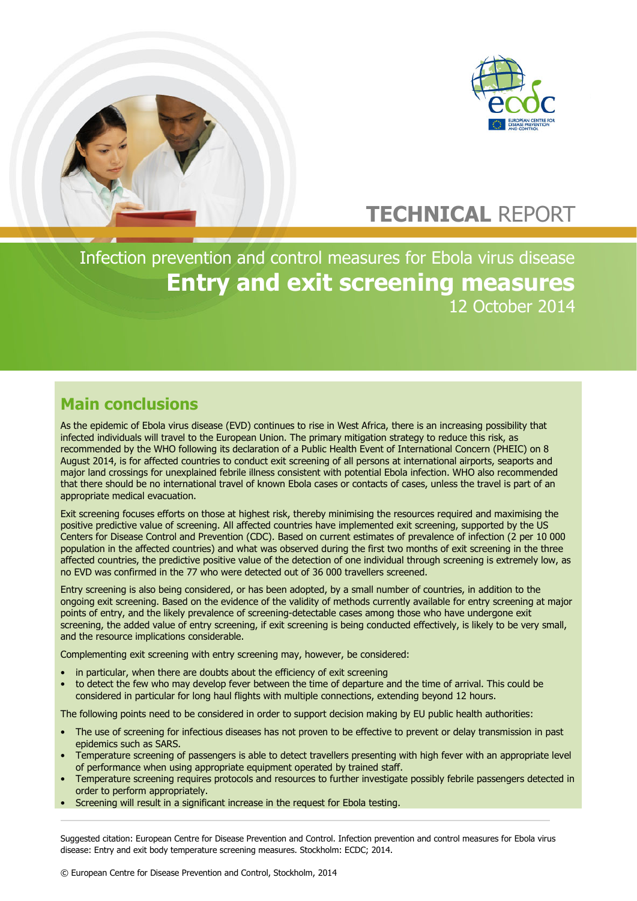

# **TECHNICAL** REPORT

Infection prevention and control measures for Ebola virus disease **Entry and exit screening measures** 12 October 2014

## **Main conclusions**

As the epidemic of Ebola virus disease (EVD) continues to rise in West Africa, there is an increasing possibility that infected individuals will travel to the European Union. The primary mitigation strategy to reduce this risk, as recommended by the WHO following its declaration of a Public Health Event of International Concern (PHEIC) on 8 August 2014, is for affected countries to conduct exit screening of all persons at international airports, seaports and major land crossings for unexplained febrile illness consistent with potential Ebola infection. WHO also recommended that there should be no international travel of known Ebola cases or contacts of cases, unless the travel is part of an appropriate medical evacuation.

Exit screening focuses efforts on those at highest risk, thereby minimising the resources required and maximising the positive predictive value of screening. All affected countries have implemented exit screening, supported by the US Centers for Disease Control and Prevention (CDC). Based on current estimates of prevalence of infection (2 per 10 000 population in the affected countries) and what was observed during the first two months of exit screening in the three affected countries, the predictive positive value of the detection of one individual through screening is extremely low, as no EVD was confirmed in the 77 who were detected out of 36 000 travellers screened.

Entry screening is also being considered, or has been adopted, by a small number of countries, in addition to the ongoing exit screening. Based on the evidence of the validity of methods currently available for entry screening at major points of entry, and the likely prevalence of screening-detectable cases among those who have undergone exit screening, the added value of entry screening, if exit screening is being conducted effectively, is likely to be very small, and the resource implications considerable.

Complementing exit screening with entry screening may, however, be considered:

- in particular, when there are doubts about the efficiency of exit screening
- to detect the few who may develop fever between the time of departure and the time of arrival. This could be considered in particular for long haul flights with multiple connections, extending beyond 12 hours.

The following points need to be considered in order to support decision making by EU public health authorities:

- The use of screening for infectious diseases has not proven to be effective to prevent or delay transmission in past epidemics such as SARS.
- Temperature screening of passengers is able to detect travellers presenting with high fever with an appropriate level of performance when using appropriate equipment operated by trained staff.
- Temperature screening requires protocols and resources to further investigate possibly febrile passengers detected in order to perform appropriately.
- Screening will result in a significant increase in the request for Ebola testing.

Suggested citation: European Centre for Disease Prevention and Control. Infection prevention and control measures for Ebola virus disease: Entry and exit body temperature screening measures. Stockholm: ECDC; 2014.

© European Centre for Disease Prevention and Control, Stockholm, 2014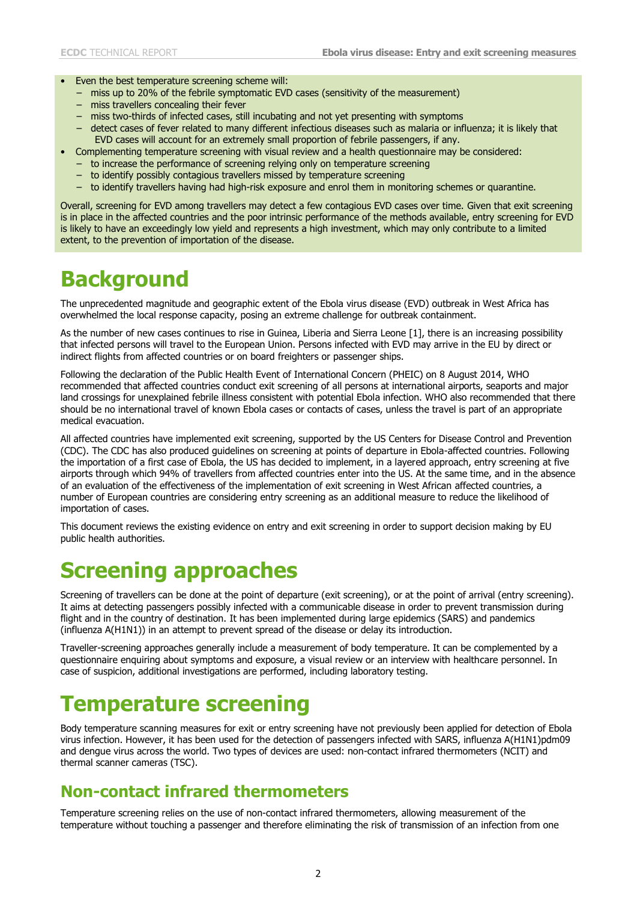- Even the best temperature screening scheme will:
	- − miss up to 20% of the febrile symptomatic EVD cases (sensitivity of the measurement)
	- − miss travellers concealing their fever
	- − miss two-thirds of infected cases, still incubating and not yet presenting with symptoms
	- − detect cases of fever related to many different infectious diseases such as malaria or influenza; it is likely that EVD cases will account for an extremely small proportion of febrile passengers, if any.
	- Complementing temperature screening with visual review and a health questionnaire may be considered:
	- − to increase the performance of screening relying only on temperature screening
	- − to identify possibly contagious travellers missed by temperature screening
	- − to identify travellers having had high-risk exposure and enrol them in monitoring schemes or quarantine.

Overall, screening for EVD among travellers may detect a few contagious EVD cases over time. Given that exit screening is in place in the affected countries and the poor intrinsic performance of the methods available, entry screening for EVD is likely to have an exceedingly low yield and represents a high investment, which may only contribute to a limited extent, to the prevention of importation of the disease.

## **Background**

The unprecedented magnitude and geographic extent of the Ebola virus disease (EVD) outbreak in West Africa has overwhelmed the local response capacity, posing an extreme challenge for outbreak containment.

As the number of new cases continues to rise in Guinea, Liberia and Sierra Leone [\[1\]](#page-7-0), there is an increasing possibility that infected persons will travel to the European Union. Persons infected with EVD may arrive in the EU by direct or indirect flights from affected countries or on board freighters or passenger ships.

Following the declaration of the Public Health Event of International Concern (PHEIC) on 8 August 2014, WHO recommended that affected countries conduct exit screening of all persons at international airports, seaports and major land crossings for unexplained febrile illness consistent with potential Ebola infection. WHO also recommended that there should be no international travel of known Ebola cases or contacts of cases, unless the travel is part of an appropriate medical evacuation.

All affected countries have implemented exit screening, supported by the US Centers for Disease Control and Prevention (CDC). The CDC has also produced guidelines on screening at points of departure in Ebola-affected countries. Following the importation of a first case of Ebola, the US has decided to implement, in a layered approach, entry screening at five airports through which 94% of travellers from affected countries enter into the US. At the same time, and in the absence of an evaluation of the effectiveness of the implementation of exit screening in West African affected countries, a number of European countries are considering entry screening as an additional measure to reduce the likelihood of importation of cases.

This document reviews the existing evidence on entry and exit screening in order to support decision making by EU public health authorities.

# **Screening approaches**

Screening of travellers can be done at the point of departure (exit screening), or at the point of arrival (entry screening). It aims at detecting passengers possibly infected with a communicable disease in order to prevent transmission during flight and in the country of destination. It has been implemented during large epidemics (SARS) and pandemics (influenza A(H1N1)) in an attempt to prevent spread of the disease or delay its introduction.

Traveller-screening approaches generally include a measurement of body temperature. It can be complemented by a questionnaire enquiring about symptoms and exposure, a visual review or an interview with healthcare personnel. In case of suspicion, additional investigations are performed, including laboratory testing.

## **Temperature screening**

Body temperature scanning measures for exit or entry screening have not previously been applied for detection of Ebola virus infection. However, it has been used for the detection of passengers infected with SARS, influenza A(H1N1)pdm09 and dengue virus across the world. Two types of devices are used: non-contact infrared thermometers (NCIT) and thermal scanner cameras (TSC).

### **Non-contact infrared thermometers**

Temperature screening relies on the use of non-contact infrared thermometers, allowing measurement of the temperature without touching a passenger and therefore eliminating the risk of transmission of an infection from one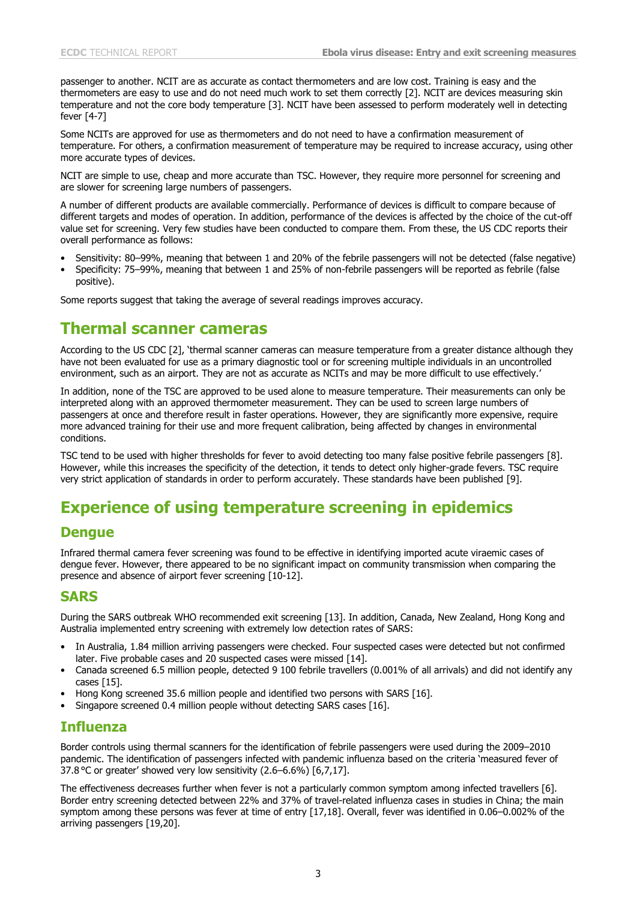passenger to another. NCIT are as accurate as contact thermometers and are low cost. Training is easy and the thermometers are easy to use and do not need much work to set them correctly [\[2\]](#page-7-1). NCIT are devices measuring skin temperature and not the core body temperature [\[3\]](#page-7-2). NCIT have been assessed to perform moderately well in detecting fever [\[4-7\]](#page-7-3)

Some NCITs are approved for use as thermometers and do not need to have a confirmation measurement of temperature. For others, a confirmation measurement of temperature may be required to increase accuracy, using other more accurate types of devices.

NCIT are simple to use, cheap and more accurate than TSC. However, they require more personnel for screening and are slower for screening large numbers of passengers.

A number of different products are available commercially. Performance of devices is difficult to compare because of different targets and modes of operation. In addition, performance of the devices is affected by the choice of the cut-off value set for screening. Very few studies have been conducted to compare them. From these, the US CDC reports their overall performance as follows:

- Sensitivity: 80–99%, meaning that between 1 and 20% of the febrile passengers will not be detected (false negative)
- Specificity: 75–99%, meaning that between 1 and 25% of non-febrile passengers will be reported as febrile (false positive).

Some reports suggest that taking the average of several readings improves accuracy.

### **Thermal scanner cameras**

According to the US CDC [\[2\]](#page-7-1), 'thermal scanner cameras can measure temperature from a greater distance although they have not been evaluated for use as a primary diagnostic tool or for screening multiple individuals in an uncontrolled environment, such as an airport. They are not as accurate as NCITs and may be more difficult to use effectively.'

In addition, none of the TSC are approved to be used alone to measure temperature. Their measurements can only be interpreted along with an approved thermometer measurement. They can be used to screen large numbers of passengers at once and therefore result in faster operations. However, they are significantly more expensive, require more advanced training for their use and more frequent calibration, being affected by changes in environmental conditions.

TSC tend to be used with higher thresholds for fever to avoid detecting too many false positive febrile passengers [\[8\]](#page-7-4). However, while this increases the specificity of the detection, it tends to detect only higher-grade fevers. TSC require very strict application of standards in order to perform accurately. These standards have been published [\[9\]](#page-7-5).

## **Experience of using temperature screening in epidemics**

#### **Dengue**

Infrared thermal camera fever screening was found to be effective in identifying imported acute viraemic cases of dengue fever. However, there appeared to be no significant impact on community transmission when comparing the presence and absence of airport fever screening [\[10-12\]](#page-7-6).

#### **SARS**

During the SARS outbreak WHO recommended exit screening [\[13\]](#page-7-7). In addition, Canada, New Zealand, Hong Kong and Australia implemented entry screening with extremely low detection rates of SARS:

- In Australia, 1.84 million arriving passengers were checked. Four suspected cases were detected but not confirmed later. Five probable cases and 20 suspected cases were missed [\[14\]](#page-7-8).
- Canada screened 6.5 million people, detected 9 100 febrile travellers (0.001% of all arrivals) and did not identify any cases [\[15\]](#page-7-9).
- Hong Kong screened 35.6 million people and identified two persons with SARS [\[16\]](#page-7-10).
- Singapore screened 0.4 million people without detecting SARS cases [\[16\]](#page-7-10).

#### **Influenza**

Border controls using thermal scanners for the identification of febrile passengers were used during the 2009–2010 pandemic. The identification of passengers infected with pandemic influenza based on the criteria 'measured fever of 37.8 °C or greater' showed very low sensitivity (2.6–6.6%) [\[6,](#page-7-11)[7](#page-7-12)[,17\]](#page-7-13).

The effectiveness decreases further when fever is not a particularly common symptom among infected travellers [\[6\]](#page-7-11). Border entry screening detected between 22% and 37% of travel-related influenza cases in studies in China; the main symptom among these persons was fever at time of entry [\[17](#page-7-13)[,18\]](#page-7-14). Overall, fever was identified in 0.06–0.002% of the arriving passengers [\[19](#page-7-15)[,20\]](#page-8-0).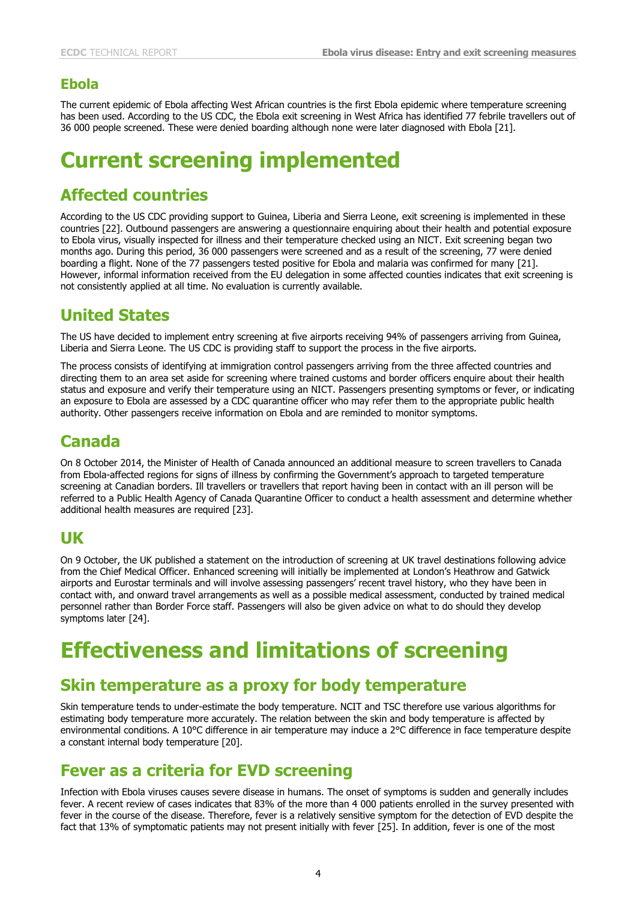#### **Ebola**

The current epidemic of Ebola affecting West African countries is the first Ebola epidemic where temperature screening has been used. According to the US CDC, the Ebola exit screening in West Africa has identified 77 febrile travellers out of 36 000 people screened. These were denied boarding although none were later diagnosed with Ebola [\[21\]](#page-8-1).

# **Current screening implemented**

### **Affected countries**

According to the US CDC providing support to Guinea, Liberia and Sierra Leone, exit screening is implemented in these countries [\[22\]](#page-8-2). Outbound passengers are answering a questionnaire enquiring about their health and potential exposure to Ebola virus, visually inspected for illness and their temperature checked using an NICT. Exit screening began two months ago. During this period, 36 000 passengers were screened and as a result of the screening, 77 were denied boarding a flight. None of the 77 passengers tested positive for Ebola and malaria was confirmed for many [\[21\]](#page-8-1). However, informal information received from the EU delegation in some affected counties indicates that exit screening is not consistently applied at all time. No evaluation is currently available.

## **United States**

The US have decided to implement entry screening at five airports receiving 94% of passengers arriving from Guinea, Liberia and Sierra Leone. The US CDC is providing staff to support the process in the five airports.

The process consists of identifying at immigration control passengers arriving from the three affected countries and directing them to an area set aside for screening where trained customs and border officers enquire about their health status and exposure and verify their temperature using an NICT. Passengers presenting symptoms or fever, or indicating an exposure to Ebola are assessed by a CDC quarantine officer who may refer them to the appropriate public health authority. Other passengers receive information on Ebola and are reminded to monitor symptoms.

## **Canada**

On 8 October 2014, the Minister of Health of Canada announced an additional measure to screen travellers to Canada from Ebola-affected regions for signs of illness by confirming the Government's approach to targeted temperature screening at Canadian borders. Ill travellers or travellers that report having been in contact with an ill person will be referred to a Public Health Agency of Canada Quarantine Officer to conduct a health assessment and determine whether additional health measures are required [\[23\]](#page-8-3).

### **UK**

On 9 October, the UK published a statement on the introduction of screening at UK travel destinations following advice from the Chief Medical Officer. Enhanced screening will initially be implemented at London's Heathrow and Gatwick airports and Eurostar terminals and will involve assessing passengers' recent travel history, who they have been in contact with, and onward travel arrangements as well as a possible medical assessment, conducted by trained medical personnel rather than Border Force staff. Passengers will also be given advice on what to do should they develop symptoms later [\[24\]](#page-8-4).

# **Effectiveness and limitations of screening**

### **Skin temperature as a proxy for body temperature**

Skin temperature tends to under-estimate the body temperature. NCIT and TSC therefore use various algorithms for estimating body temperature more accurately. The relation between the skin and body temperature is affected by environmental conditions. A 10°C difference in air temperature may induce a 2°C difference in face temperature despite a constant internal body temperature [\[20\]](#page-8-0).

### **Fever as a criteria for EVD screening**

Infection with Ebola viruses causes severe disease in humans. The onset of symptoms is sudden and generally includes fever. A recent review of cases indicates that 83% of the more than 4 000 patients enrolled in the survey presented with fever in the course of the disease. Therefore, fever is a relatively sensitive symptom for the detection of EVD despite the fact that 13% of symptomatic patients may not present initially with fever [\[25\]](#page-8-5). In addition, fever is one of the most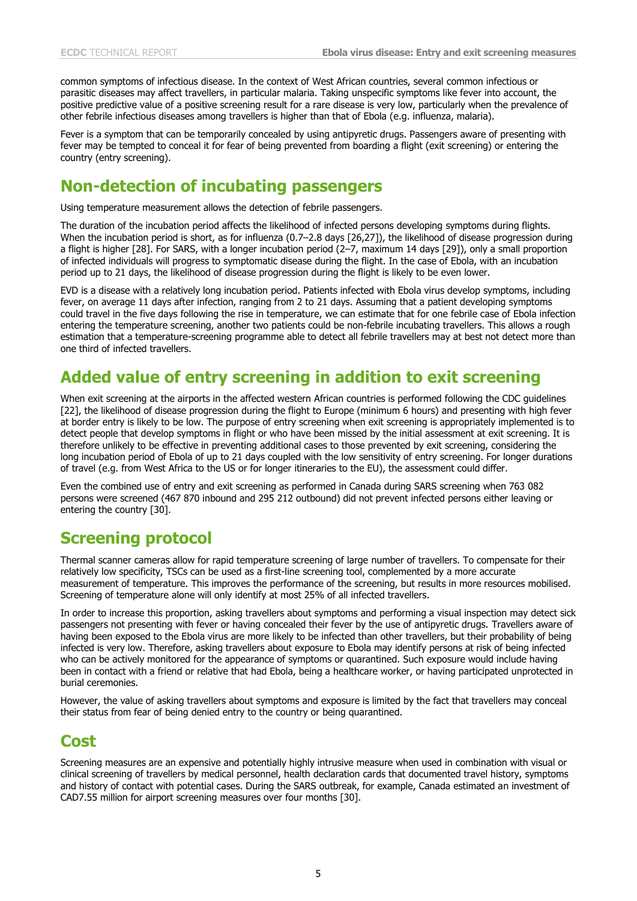common symptoms of infectious disease. In the context of West African countries, several common infectious or parasitic diseases may affect travellers, in particular malaria. Taking unspecific symptoms like fever into account, the positive predictive value of a positive screening result for a rare disease is very low, particularly when the prevalence of other febrile infectious diseases among travellers is higher than that of Ebola (e.g. influenza, malaria).

Fever is a symptom that can be temporarily concealed by using antipyretic drugs. Passengers aware of presenting with fever may be tempted to conceal it for fear of being prevented from boarding a flight (exit screening) or entering the country (entry screening).

### **Non-detection of incubating passengers**

Using temperature measurement allows the detection of febrile passengers.

The duration of the incubation period affects the likelihood of infected persons developing symptoms during flights. When the incubation period is short, as for influenza (0.7–2.8 days [\[26,](#page-8-6)[27\]](#page-8-7)), the likelihood of disease progression during a flight is higher [\[28\]](#page-8-8). For SARS, with a longer incubation period (2–7, maximum 14 days [\[29\]](#page-8-9)), only a small proportion of infected individuals will progress to symptomatic disease during the flight. In the case of Ebola, with an incubation period up to 21 days, the likelihood of disease progression during the flight is likely to be even lower.

EVD is a disease with a relatively long incubation period. Patients infected with Ebola virus develop symptoms, including fever, on average 11 days after infection, ranging from 2 to 21 days. Assuming that a patient developing symptoms could travel in the five days following the rise in temperature, we can estimate that for one febrile case of Ebola infection entering the temperature screening, another two patients could be non-febrile incubating travellers. This allows a rough estimation that a temperature-screening programme able to detect all febrile travellers may at best not detect more than one third of infected travellers.

## **Added value of entry screening in addition to exit screening**

When exit screening at the airports in the affected western African countries is performed following the CDC guidelines [\[22\]](#page-8-2), the likelihood of disease progression during the flight to Europe (minimum 6 hours) and presenting with high fever at border entry is likely to be low. The purpose of entry screening when exit screening is appropriately implemented is to detect people that develop symptoms in flight or who have been missed by the initial assessment at exit screening. It is therefore unlikely to be effective in preventing additional cases to those prevented by exit screening, considering the long incubation period of Ebola of up to 21 days coupled with the low sensitivity of entry screening. For longer durations of travel (e.g. from West Africa to the US or for longer itineraries to the EU), the assessment could differ.

Even the combined use of entry and exit screening as performed in Canada during SARS screening when 763 082 persons were screened (467 870 inbound and 295 212 outbound) did not prevent infected persons either leaving or entering the country [\[30\]](#page-8-10).

## **Screening protocol**

Thermal scanner cameras allow for rapid temperature screening of large number of travellers. To compensate for their relatively low specificity, TSCs can be used as a first-line screening tool, complemented by a more accurate measurement of temperature. This improves the performance of the screening, but results in more resources mobilised. Screening of temperature alone will only identify at most 25% of all infected travellers.

In order to increase this proportion, asking travellers about symptoms and performing a visual inspection may detect sick passengers not presenting with fever or having concealed their fever by the use of antipyretic drugs. Travellers aware of having been exposed to the Ebola virus are more likely to be infected than other travellers, but their probability of being infected is very low. Therefore, asking travellers about exposure to Ebola may identify persons at risk of being infected who can be actively monitored for the appearance of symptoms or quarantined. Such exposure would include having been in contact with a friend or relative that had Ebola, being a healthcare worker, or having participated unprotected in burial ceremonies.

However, the value of asking travellers about symptoms and exposure is limited by the fact that travellers may conceal their status from fear of being denied entry to the country or being quarantined.

### **Cost**

Screening measures are an expensive and potentially highly intrusive measure when used in combination with visual or clinical screening of travellers by medical personnel, health declaration cards that documented travel history, symptoms and history of contact with potential cases. During the SARS outbreak, for example, Canada estimated an investment of CAD7.55 million for airport screening measures over four months [\[30\]](#page-8-10).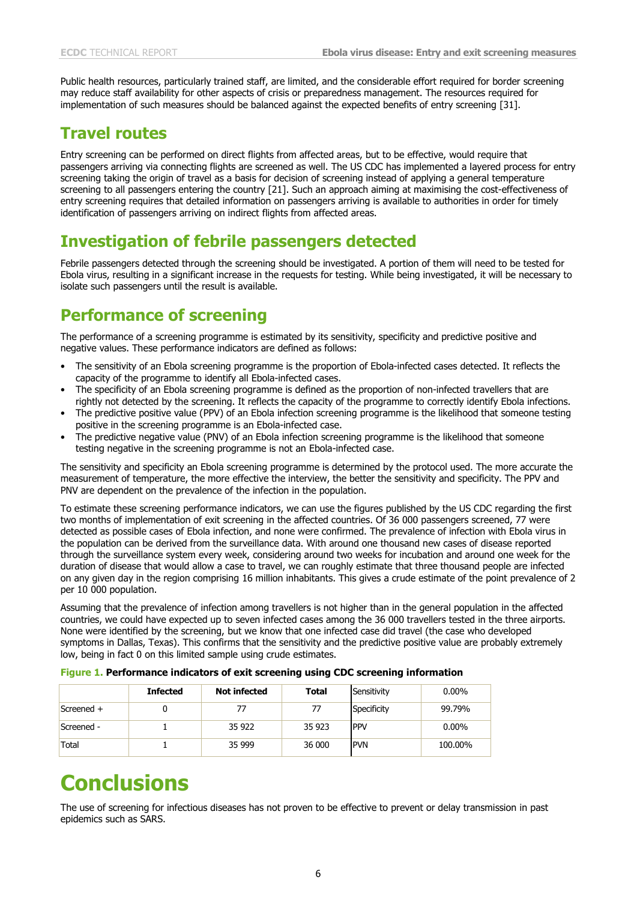Public health resources, particularly trained staff, are limited, and the considerable effort required for border screening may reduce staff availability for other aspects of crisis or preparedness management. The resources required for implementation of such measures should be balanced against the expected benefits of entry screening [\[31\]](#page-8-11).

## **Travel routes**

Entry screening can be performed on direct flights from affected areas, but to be effective, would require that passengers arriving via connecting flights are screened as well. The US CDC has implemented a layered process for entry screening taking the origin of travel as a basis for decision of screening instead of applying a general temperature screening to all passengers entering the country [\[21\]](#page-8-1). Such an approach aiming at maximising the cost-effectiveness of entry screening requires that detailed information on passengers arriving is available to authorities in order for timely identification of passengers arriving on indirect flights from affected areas.

## **Investigation of febrile passengers detected**

Febrile passengers detected through the screening should be investigated. A portion of them will need to be tested for Ebola virus, resulting in a significant increase in the requests for testing. While being investigated, it will be necessary to isolate such passengers until the result is available.

## **Performance of screening**

The performance of a screening programme is estimated by its sensitivity, specificity and predictive positive and negative values. These performance indicators are defined as follows:

- The sensitivity of an Ebola screening programme is the proportion of Ebola-infected cases detected. It reflects the capacity of the programme to identify all Ebola-infected cases.
- The specificity of an Ebola screening programme is defined as the proportion of non-infected travellers that are rightly not detected by the screening. It reflects the capacity of the programme to correctly identify Ebola infections.
- The predictive positive value (PPV) of an Ebola infection screening programme is the likelihood that someone testing positive in the screening programme is an Ebola-infected case.
- The predictive negative value (PNV) of an Ebola infection screening programme is the likelihood that someone testing negative in the screening programme is not an Ebola-infected case.

The sensitivity and specificity an Ebola screening programme is determined by the protocol used. The more accurate the measurement of temperature, the more effective the interview, the better the sensitivity and specificity. The PPV and PNV are dependent on the prevalence of the infection in the population.

To estimate these screening performance indicators, we can use the figures published by the US CDC regarding the first two months of implementation of exit screening in the affected countries. Of 36 000 passengers screened, 77 were detected as possible cases of Ebola infection, and none were confirmed. The prevalence of infection with Ebola virus in the population can be derived from the surveillance data. With around one thousand new cases of disease reported through the surveillance system every week, considering around two weeks for incubation and around one week for the duration of disease that would allow a case to travel, we can roughly estimate that three thousand people are infected on any given day in the region comprising 16 million inhabitants. This gives a crude estimate of the point prevalence of 2 per 10 000 population.

Assuming that the prevalence of infection among travellers is not higher than in the general population in the affected countries, we could have expected up to seven infected cases among the 36 000 travellers tested in the three airports. None were identified by the screening, but we know that one infected case did travel (the case who developed symptoms in Dallas, Texas). This confirms that the sensitivity and the predictive positive value are probably extremely low, being in fact 0 on this limited sample using crude estimates.

|            | <b>Infected</b> | <b>Not infected</b> | <b>Total</b> | Sensitivity | $0.00\%$ |
|------------|-----------------|---------------------|--------------|-------------|----------|
| Screened + |                 |                     | 77           | Specificity | 99.79%   |
| Screened - |                 | 35 922              | 35 923       | <b>PPV</b>  | $0.00\%$ |
| Total      |                 | 35 999              | 36 000       | <b>PVN</b>  | 100.00%  |

#### **Figure 1. Performance indicators of exit screening using CDC screening information**

# **Conclusions**

The use of screening for infectious diseases has not proven to be effective to prevent or delay transmission in past epidemics such as SARS.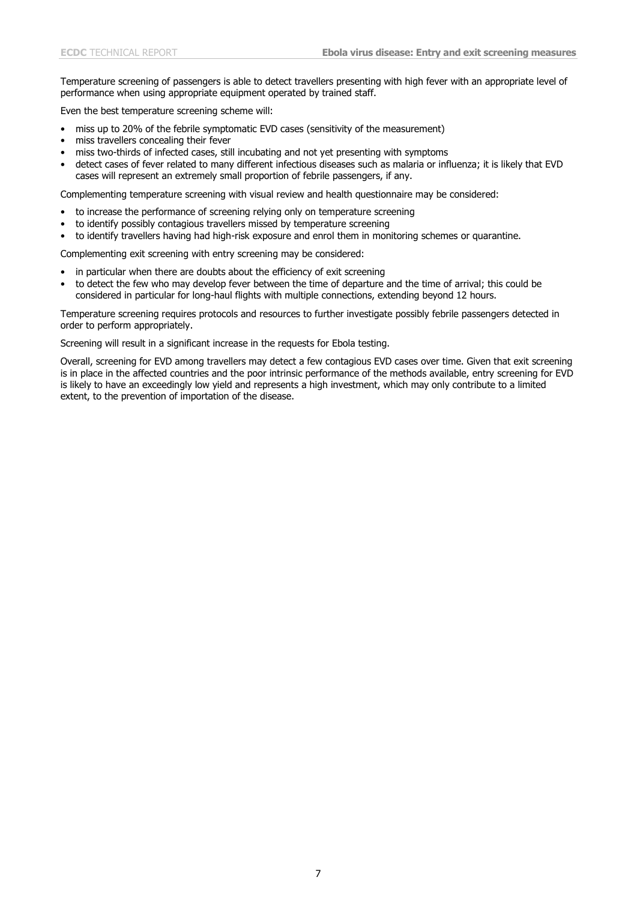Temperature screening of passengers is able to detect travellers presenting with high fever with an appropriate level of performance when using appropriate equipment operated by trained staff.

Even the best temperature screening scheme will:

- miss up to 20% of the febrile symptomatic EVD cases (sensitivity of the measurement)
- miss travellers concealing their fever
- miss two-thirds of infected cases, still incubating and not yet presenting with symptoms
- detect cases of fever related to many different infectious diseases such as malaria or influenza; it is likely that EVD cases will represent an extremely small proportion of febrile passengers, if any.

Complementing temperature screening with visual review and health questionnaire may be considered:

- to increase the performance of screening relying only on temperature screening
- to identify possibly contagious travellers missed by temperature screening
- to identify travellers having had high-risk exposure and enrol them in monitoring schemes or quarantine.

Complementing exit screening with entry screening may be considered:

- in particular when there are doubts about the efficiency of exit screening
- to detect the few who may develop fever between the time of departure and the time of arrival; this could be considered in particular for long-haul flights with multiple connections, extending beyond 12 hours.

Temperature screening requires protocols and resources to further investigate possibly febrile passengers detected in order to perform appropriately.

Screening will result in a significant increase in the requests for Ebola testing.

Overall, screening for EVD among travellers may detect a few contagious EVD cases over time. Given that exit screening is in place in the affected countries and the poor intrinsic performance of the methods available, entry screening for EVD is likely to have an exceedingly low yield and represents a high investment, which may only contribute to a limited extent, to the prevention of importation of the disease.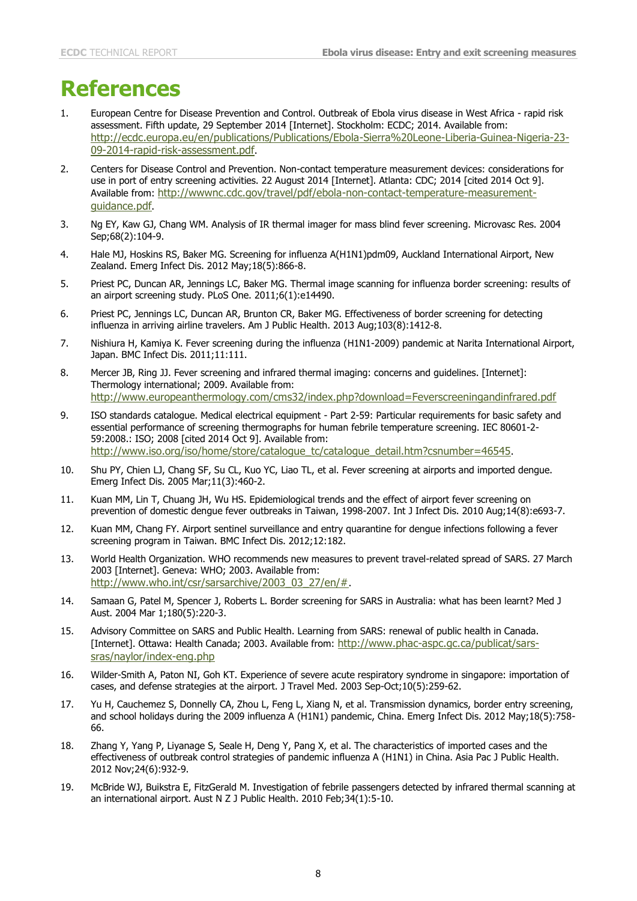# **References**

- <span id="page-7-0"></span>1. European Centre for Disease Prevention and Control. Outbreak of Ebola virus disease in West Africa - rapid risk assessment. Fifth update, 29 September 2014 [Internet]. Stockholm: ECDC; 2014. Available from: [http://ecdc.europa.eu/en/publications/Publications/Ebola-Sierra%20Leone-Liberia-Guinea-Nigeria-23-](http://ecdc.europa.eu/en/publications/Publications/Ebola-Sierra%20Leone-Liberia-Guinea-Nigeria-23-09-2014-rapid-risk-assessment.pdf) [09-2014-rapid-risk-assessment.pdf](http://ecdc.europa.eu/en/publications/Publications/Ebola-Sierra%20Leone-Liberia-Guinea-Nigeria-23-09-2014-rapid-risk-assessment.pdf).
- <span id="page-7-1"></span>2. Centers for Disease Control and Prevention. Non-contact temperature measurement devices: considerations for use in port of entry screening activities. 22 August 2014 [Internet]. Atlanta: CDC; 2014 [cited 2014 Oct 9]. Available from: [http://wwwnc.cdc.gov/travel/pdf/ebola-non-contact-temperature-measurement](http://wwwnc.cdc.gov/travel/pdf/ebola-non-contact-temperature-measurement-guidance.pdf)[guidance.pdf](http://wwwnc.cdc.gov/travel/pdf/ebola-non-contact-temperature-measurement-guidance.pdf).
- <span id="page-7-2"></span>3. Ng EY, Kaw GJ, Chang WM. Analysis of IR thermal imager for mass blind fever screening. Microvasc Res. 2004 Sep;68(2):104-9.
- <span id="page-7-3"></span>4. Hale MJ, Hoskins RS, Baker MG. Screening for influenza A(H1N1)pdm09, Auckland International Airport, New Zealand. Emerg Infect Dis. 2012 May;18(5):866-8.
- 5. Priest PC, Duncan AR, Jennings LC, Baker MG. Thermal image scanning for influenza border screening: results of an airport screening study. PLoS One. 2011;6(1):e14490.
- <span id="page-7-11"></span>6. Priest PC, Jennings LC, Duncan AR, Brunton CR, Baker MG. Effectiveness of border screening for detecting influenza in arriving airline travelers. Am J Public Health. 2013 Aug;103(8):1412-8.
- <span id="page-7-12"></span>7. Nishiura H, Kamiya K. Fever screening during the influenza (H1N1-2009) pandemic at Narita International Airport, Japan. BMC Infect Dis. 2011;11:111.
- <span id="page-7-4"></span>8. Mercer JB, Ring JJ. Fever screening and infrared thermal imaging: concerns and guidelines. [Internet]: Thermology international; 2009. Available from: <http://www.europeanthermology.com/cms32/index.php?download=Feverscreeningandinfrared.pdf>
- <span id="page-7-5"></span>9. ISO standards catalogue. Medical electrical equipment - Part 2-59: Particular requirements for basic safety and essential performance of screening thermographs for human febrile temperature screening. IEC 80601-2- 59:2008.: ISO; 2008 [cited 2014 Oct 9]. Available from: [http://www.iso.org/iso/home/store/catalogue\\_tc/catalogue\\_detail.htm?csnumber=46545](http://www.iso.org/iso/home/store/catalogue_tc/catalogue_detail.htm?csnumber=46545).
- <span id="page-7-6"></span>10. Shu PY, Chien LJ, Chang SF, Su CL, Kuo YC, Liao TL, et al. Fever screening at airports and imported dengue. Emerg Infect Dis. 2005 Mar;11(3):460-2.
- 11. Kuan MM, Lin T, Chuang JH, Wu HS. Epidemiological trends and the effect of airport fever screening on prevention of domestic dengue fever outbreaks in Taiwan, 1998-2007. Int J Infect Dis. 2010 Aug;14(8):e693-7.
- 12. Kuan MM, Chang FY. Airport sentinel surveillance and entry quarantine for dengue infections following a fever screening program in Taiwan. BMC Infect Dis. 2012;12:182.
- <span id="page-7-7"></span>13. World Health Organization. WHO recommends new measures to prevent travel-related spread of SARS. 27 March 2003 [Internet]. Geneva: WHO; 2003. Available from: [http://www.who.int/csr/sarsarchive/2003\\_03\\_27/en/#](http://www.who.int/csr/sarsarchive/2003_03_27/en/).
- <span id="page-7-8"></span>14. Samaan G, Patel M, Spencer J, Roberts L. Border screening for SARS in Australia: what has been learnt? Med J Aust. 2004 Mar 1;180(5):220-3.
- <span id="page-7-9"></span>15. Advisory Committee on SARS and Public Health. Learning from SARS: renewal of public health in Canada. [Internet]. Ottawa: Health Canada; 2003. Available from: [http://www.phac-aspc.gc.ca/publicat/sars](http://www.phac-aspc.gc.ca/publicat/sars-sras/naylor/index-eng.php)[sras/naylor/index-eng.php](http://www.phac-aspc.gc.ca/publicat/sars-sras/naylor/index-eng.php)
- <span id="page-7-10"></span>16. Wilder-Smith A, Paton NI, Goh KT. Experience of severe acute respiratory syndrome in singapore: importation of cases, and defense strategies at the airport. J Travel Med. 2003 Sep-Oct;10(5):259-62.
- <span id="page-7-13"></span>17. Yu H, Cauchemez S, Donnelly CA, Zhou L, Feng L, Xiang N, et al. Transmission dynamics, border entry screening, and school holidays during the 2009 influenza A (H1N1) pandemic, China. Emerg Infect Dis. 2012 May;18(5):758- 66.
- <span id="page-7-14"></span>18. Zhang Y, Yang P, Liyanage S, Seale H, Deng Y, Pang X, et al. The characteristics of imported cases and the effectiveness of outbreak control strategies of pandemic influenza A (H1N1) in China. Asia Pac J Public Health. 2012 Nov;24(6):932-9.
- <span id="page-7-15"></span>19. McBride WJ, Buikstra E, FitzGerald M. Investigation of febrile passengers detected by infrared thermal scanning at an international airport. Aust N Z J Public Health. 2010 Feb;34(1):5-10.